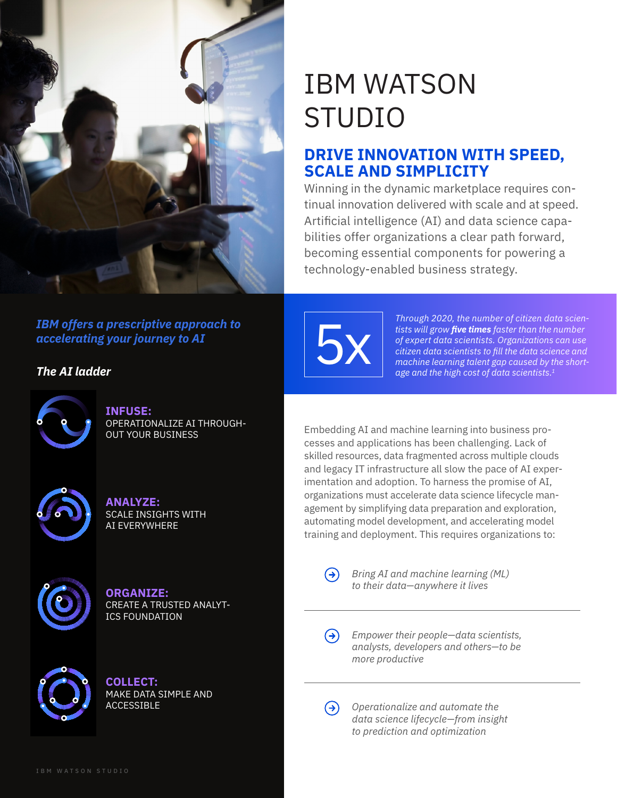

# IBM WATSON STUDIO

# **DRIVE INNOVATION WITH SPEED, SCALE AND SIMPLICITY**

Winning in the dynamic marketplace requires continual innovation delivered with scale and at speed. Artificial intelligence (AI) and data science capabilities offer organizations a clear path forward, becoming essential components for powering a technology-enabled business strategy.

# *IBM offers a prescriptive approach to accelerating your journey to AI*

*The AI ladder*



## **INFUSE:**  OPERATIONALIZE AI THROUGH-OUT YOUR BUSINESS



**ANALYZE:**  SCALE INSIGHTS WITH AI EVERYWHERE



**ORGANIZE:**  CREATE A TRUSTED ANALYT-ICS FOUNDATION



**COLLECT:**  MAKE DATA SIMPLE AND ACCESSIBLE



*Through 2020, the number of citizen data scientists will grow five times faster than the number of expert data scientists. Organizations can use citizen data scientists to fill the data science and machine learning talent gap caused by the short are and the high cost of expert data scientists. Organizations can use citizen data scientists to fill the data science and machine learning talent gap caused by the shortage and the high cost of data scientists.*

Embedding AI and machine learning into business processes and applications has been challenging. Lack of skilled resources, data fragmented across multiple clouds and legacy IT infrastructure all slow the pace of AI experimentation and adoption. To harness the promise of AI, organizations must accelerate data science lifecycle management by simplifying data preparation and exploration, automating model development, and accelerating model training and deployment. This requires organizations to:

*Bring AI and machine learning (ML) to their data—anywhere it lives* 

 $\Theta$ *Empower their people—data scientists, analysts, developers and others—to be more productive*

 $\Theta$ *Operationalize and automate the data science lifecycle—from insight to prediction and optimization*